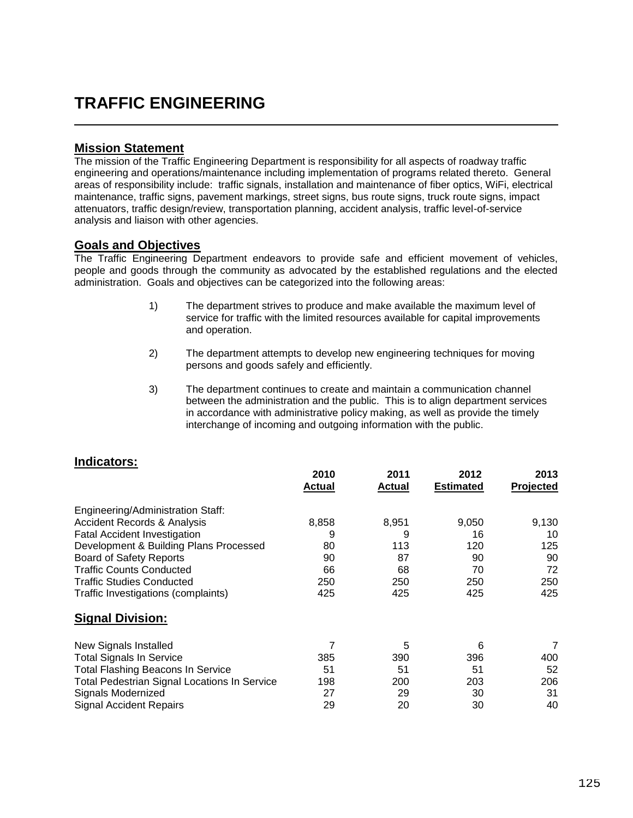## **TRAFFIC ENGINEERING**

## **Mission Statement**

The mission of the Traffic Engineering Department is responsibility for all aspects of roadway traffic engineering and operations/maintenance including implementation of programs related thereto. General areas of responsibility include: traffic signals, installation and maintenance of fiber optics, WiFi, electrical maintenance, traffic signs, pavement markings, street signs, bus route signs, truck route signs, impact attenuators, traffic design/review, transportation planning, accident analysis, traffic level-of-service analysis and liaison with other agencies.

## **Goals and Objectives**

The Traffic Engineering Department endeavors to provide safe and efficient movement of vehicles, people and goods through the community as advocated by the established regulations and the elected administration. Goals and objectives can be categorized into the following areas:

- 1) The department strives to produce and make available the maximum level of service for traffic with the limited resources available for capital improvements and operation.
- 2) The department attempts to develop new engineering techniques for moving persons and goods safely and efficiently.
- 3) The department continues to create and maintain a communication channel between the administration and the public. This is to align department services in accordance with administrative policy making, as well as provide the timely interchange of incoming and outgoing information with the public.

## **Indicators:**

|                                                     | 2010<br>Actual | 2011<br><b>Actual</b> | 2012<br><b>Estimated</b> | 2013<br><b>Projected</b> |
|-----------------------------------------------------|----------------|-----------------------|--------------------------|--------------------------|
| Engineering/Administration Staff:                   |                |                       |                          |                          |
| <b>Accident Records &amp; Analysis</b>              | 8,858          | 8,951                 | 9,050                    | 9,130                    |
| <b>Fatal Accident Investigation</b>                 | 9              | 9                     | 16                       | 10                       |
| Development & Building Plans Processed              | 80             | 113                   | 120                      | 125                      |
| <b>Board of Safety Reports</b>                      | 90             | 87                    | 90                       | 90                       |
| <b>Traffic Counts Conducted</b>                     | 66             | 68                    | 70                       | 72                       |
| <b>Traffic Studies Conducted</b>                    | 250            | 250                   | 250                      | 250                      |
| Traffic Investigations (complaints)                 | 425            | 425                   | 425                      | 425                      |
| <b>Signal Division:</b>                             |                |                       |                          |                          |
| <b>New Signals Installed</b>                        | 7              | 5                     | 6                        | 7                        |
| <b>Total Signals In Service</b>                     | 385            | 390                   | 396                      | 400                      |
| <b>Total Flashing Beacons In Service</b>            | 51             | 51                    | 51                       | 52                       |
| <b>Total Pedestrian Signal Locations In Service</b> | 198            | 200                   | 203                      | 206                      |
| Signals Modernized                                  | 27             | 29                    | 30                       | 31                       |
| <b>Signal Accident Repairs</b>                      | 29             | 20                    | 30                       | 40                       |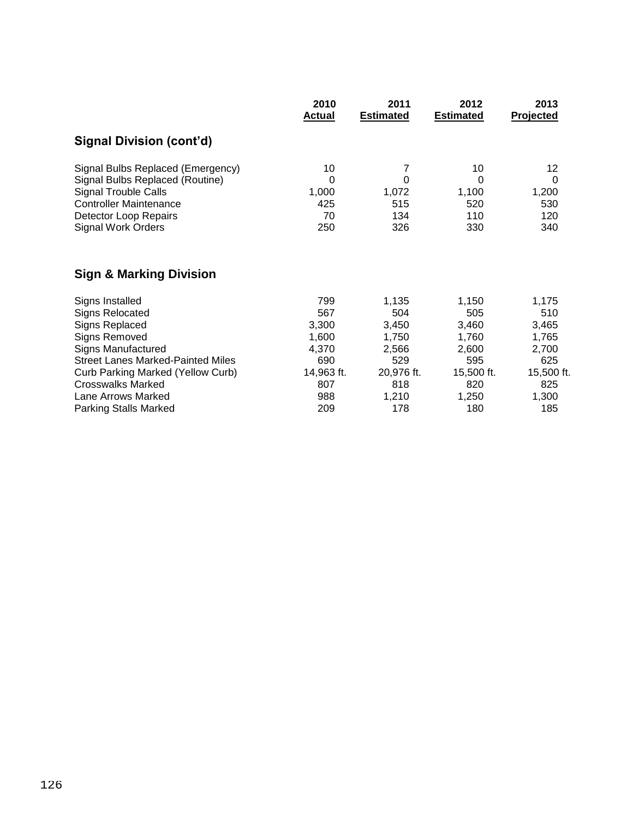|                                          | 2010          | 2011             | 2012             | 2013       |
|------------------------------------------|---------------|------------------|------------------|------------|
|                                          | <b>Actual</b> | <b>Estimated</b> | <b>Estimated</b> | Projected  |
| Signal Division (cont'd)                 |               |                  |                  |            |
| Signal Bulbs Replaced (Emergency)        | 10            | 7                | 10               | 12         |
| Signal Bulbs Replaced (Routine)          | $\Omega$      | $\mathbf 0$      | 0                | 0          |
| <b>Signal Trouble Calls</b>              | 1,000         | 1,072            | 1,100            | 1,200      |
| <b>Controller Maintenance</b>            | 425           | 515              | 520              | 530        |
| Detector Loop Repairs                    | 70            | 134              | 110              | 120        |
| <b>Signal Work Orders</b>                | 250           | 326              | 330              | 340        |
| <b>Sign &amp; Marking Division</b>       |               |                  |                  |            |
| Signs Installed                          | 799           | 1,135            | 1,150            | 1,175      |
| <b>Signs Relocated</b>                   | 567           | 504              | 505              | 510        |
| Signs Replaced                           | 3,300         | 3,450            | 3,460            | 3,465      |
| <b>Signs Removed</b>                     | 1,600         | 1,750            | 1,760            | 1,765      |
| <b>Signs Manufactured</b>                | 4,370         | 2,566            | 2,600            | 2,700      |
| <b>Street Lanes Marked-Painted Miles</b> | 690           | 529              | 595              | 625        |
| Curb Parking Marked (Yellow Curb)        | 14,963 ft.    | 20,976 ft.       | 15,500 ft.       | 15,500 ft. |
| <b>Crosswalks Marked</b>                 | 807           | 818              | 820              | 825        |
| Lane Arrows Marked                       | 988           | 1,210            | 1,250            | 1,300      |
| <b>Parking Stalls Marked</b>             | 209           | 178              | 180              | 185        |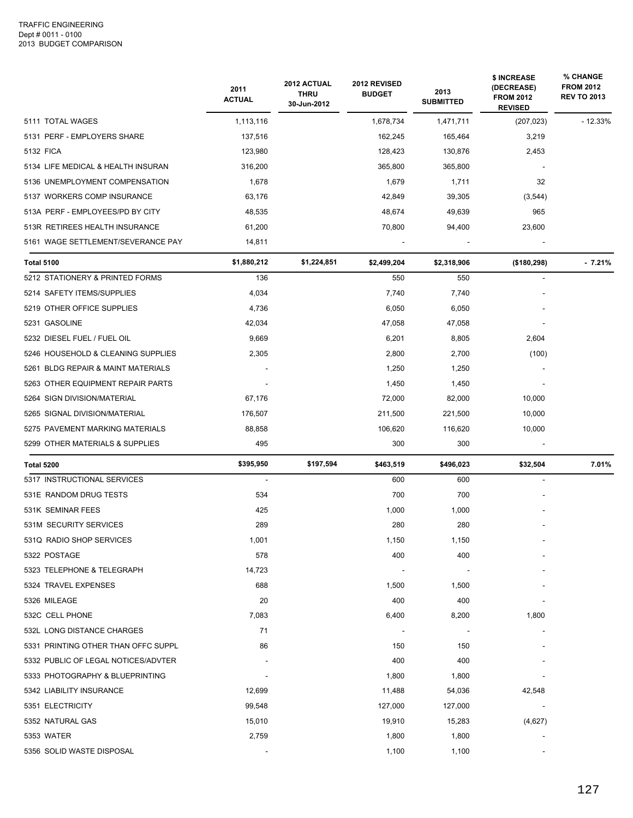|                                     | 2011<br><b>ACTUAL</b> | 2012 ACTUAL<br><b>THRU</b><br>30-Jun-2012 | 2012 REVISED<br><b>BUDGET</b> | 2013<br><b>SUBMITTED</b> | \$ INCREASE<br>(DECREASE)<br><b>FROM 2012</b><br><b>REVISED</b> | % CHANGE<br><b>FROM 2012</b><br><b>REV TO 2013</b> |
|-------------------------------------|-----------------------|-------------------------------------------|-------------------------------|--------------------------|-----------------------------------------------------------------|----------------------------------------------------|
| 5111 TOTAL WAGES                    | 1,113,116             |                                           | 1,678,734                     | 1,471,711                | (207, 023)                                                      | $-12.33%$                                          |
| 5131 PERF - EMPLOYERS SHARE         | 137,516               |                                           | 162,245                       | 165,464                  | 3,219                                                           |                                                    |
| 5132 FICA                           | 123,980               |                                           | 128,423                       | 130,876                  | 2,453                                                           |                                                    |
| 5134 LIFE MEDICAL & HEALTH INSURAN  | 316,200               |                                           | 365,800                       | 365,800                  |                                                                 |                                                    |
| 5136 UNEMPLOYMENT COMPENSATION      | 1,678                 |                                           | 1,679                         | 1,711                    | 32                                                              |                                                    |
| 5137 WORKERS COMP INSURANCE         | 63,176                |                                           | 42,849                        | 39,305                   | (3, 544)                                                        |                                                    |
| 513A PERF - EMPLOYEES/PD BY CITY    | 48,535                |                                           | 48,674                        | 49,639                   | 965                                                             |                                                    |
| 513R RETIREES HEALTH INSURANCE      | 61,200                |                                           | 70,800                        | 94,400                   | 23,600                                                          |                                                    |
| 5161 WAGE SETTLEMENT/SEVERANCE PAY  | 14,811                |                                           |                               |                          |                                                                 |                                                    |
| <b>Total 5100</b>                   | \$1,880,212           | \$1,224,851                               | \$2,499,204                   | \$2,318,906              | ( \$180, 298)                                                   | $-7.21%$                                           |
| 5212 STATIONERY & PRINTED FORMS     | 136                   |                                           | 550                           | 550                      |                                                                 |                                                    |
| 5214 SAFETY ITEMS/SUPPLIES          | 4,034                 |                                           | 7,740                         | 7,740                    |                                                                 |                                                    |
| 5219 OTHER OFFICE SUPPLIES          | 4,736                 |                                           | 6,050                         | 6,050                    |                                                                 |                                                    |
| 5231 GASOLINE                       | 42,034                |                                           | 47,058                        | 47,058                   |                                                                 |                                                    |
| 5232 DIESEL FUEL / FUEL OIL         | 9,669                 |                                           | 6,201                         | 8,805                    | 2,604                                                           |                                                    |
| 5246 HOUSEHOLD & CLEANING SUPPLIES  | 2,305                 |                                           | 2,800                         | 2,700                    | (100)                                                           |                                                    |
| 5261 BLDG REPAIR & MAINT MATERIALS  |                       |                                           | 1,250                         | 1,250                    |                                                                 |                                                    |
| 5263 OTHER EQUIPMENT REPAIR PARTS   |                       |                                           | 1,450                         | 1,450                    |                                                                 |                                                    |
| 5264 SIGN DIVISION/MATERIAL         | 67,176                |                                           | 72,000                        | 82,000                   | 10,000                                                          |                                                    |
| 5265 SIGNAL DIVISION/MATERIAL       | 176,507               |                                           | 211,500                       | 221,500                  | 10,000                                                          |                                                    |
| 5275 PAVEMENT MARKING MATERIALS     | 88,858                |                                           | 106,620                       | 116,620                  | 10,000                                                          |                                                    |
| 5299 OTHER MATERIALS & SUPPLIES     | 495                   |                                           | 300                           | 300                      |                                                                 |                                                    |
| <b>Total 5200</b>                   | \$395,950             | \$197,594                                 | \$463,519                     | \$496,023                | \$32,504                                                        | 7.01%                                              |
| 5317 INSTRUCTIONAL SERVICES         | $\sim$                |                                           | 600                           | 600                      |                                                                 |                                                    |
| 531E RANDOM DRUG TESTS              | 534                   |                                           | 700                           | 700                      |                                                                 |                                                    |
| 531K SEMINAR FEES                   | 425                   |                                           | 1,000                         | 1,000                    |                                                                 |                                                    |
| 531M SECURITY SERVICES              | 289                   |                                           | 280                           | 280                      |                                                                 |                                                    |
| 531Q RADIO SHOP SERVICES            | 1,001                 |                                           | 1,150                         | 1,150                    |                                                                 |                                                    |
| 5322 POSTAGE                        | 578                   |                                           | 400                           | 400                      |                                                                 |                                                    |
| 5323 TELEPHONE & TELEGRAPH          | 14,723                |                                           |                               |                          |                                                                 |                                                    |
| 5324 TRAVEL EXPENSES                | 688                   |                                           | 1,500                         | 1,500                    |                                                                 |                                                    |
| 5326 MILEAGE                        | 20                    |                                           | 400                           | 400                      |                                                                 |                                                    |
| 532C CELL PHONE                     | 7,083                 |                                           | 6,400                         | 8,200                    | 1,800                                                           |                                                    |
| 532L LONG DISTANCE CHARGES          | 71                    |                                           |                               |                          |                                                                 |                                                    |
| 5331 PRINTING OTHER THAN OFFC SUPPL | 86                    |                                           | 150                           | 150                      |                                                                 |                                                    |
| 5332 PUBLIC OF LEGAL NOTICES/ADVTER |                       |                                           | 400                           | 400                      |                                                                 |                                                    |
| 5333 PHOTOGRAPHY & BLUEPRINTING     |                       |                                           | 1,800                         | 1,800                    |                                                                 |                                                    |
| 5342 LIABILITY INSURANCE            | 12,699                |                                           | 11,488                        | 54,036                   | 42,548                                                          |                                                    |
| 5351 ELECTRICITY                    | 99,548                |                                           | 127,000                       | 127,000                  |                                                                 |                                                    |
| 5352 NATURAL GAS                    | 15,010                |                                           | 19,910                        | 15,283                   | (4,627)                                                         |                                                    |
| 5353 WATER                          | 2,759                 |                                           | 1,800                         | 1,800                    |                                                                 |                                                    |
| 5356 SOLID WASTE DISPOSAL           |                       |                                           | 1,100                         | 1,100                    |                                                                 |                                                    |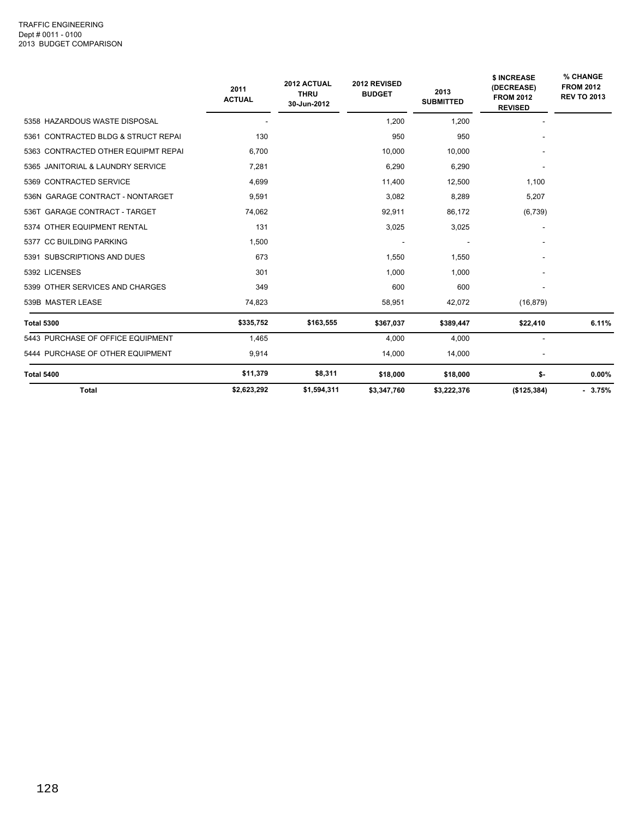|                                     | 2011<br><b>ACTUAL</b> | 2012 ACTUAL<br><b>THRU</b><br>30-Jun-2012 | 2012 REVISED<br><b>BUDGET</b> | 2013<br><b>SUBMITTED</b> | <b>\$ INCREASE</b><br>(DECREASE)<br><b>FROM 2012</b><br><b>REVISED</b> | % CHANGE<br><b>FROM 2012</b><br><b>REV TO 2013</b> |
|-------------------------------------|-----------------------|-------------------------------------------|-------------------------------|--------------------------|------------------------------------------------------------------------|----------------------------------------------------|
| 5358 HAZARDOUS WASTE DISPOSAL       |                       |                                           | 1,200                         | 1,200                    |                                                                        |                                                    |
| 5361 CONTRACTED BLDG & STRUCT REPAI | 130                   |                                           | 950                           | 950                      |                                                                        |                                                    |
| 5363 CONTRACTED OTHER EQUIPMT REPAI | 6,700                 |                                           | 10,000                        | 10,000                   |                                                                        |                                                    |
| 5365 JANITORIAL & LAUNDRY SERVICE   | 7.281                 |                                           | 6,290                         | 6,290                    |                                                                        |                                                    |
| 5369 CONTRACTED SERVICE             | 4,699                 |                                           | 11,400                        | 12,500                   | 1,100                                                                  |                                                    |
| 536N GARAGE CONTRACT - NONTARGET    | 9,591                 |                                           | 3,082                         | 8,289                    | 5,207                                                                  |                                                    |
| 536T GARAGE CONTRACT - TARGET       | 74,062                |                                           | 92,911                        | 86,172                   | (6,739)                                                                |                                                    |
| 5374 OTHER EQUIPMENT RENTAL         | 131                   |                                           | 3,025                         | 3,025                    |                                                                        |                                                    |
| 5377 CC BUILDING PARKING            | 1,500                 |                                           |                               |                          |                                                                        |                                                    |
| 5391 SUBSCRIPTIONS AND DUES         | 673                   |                                           | 1,550                         | 1,550                    |                                                                        |                                                    |
| 5392 LICENSES                       | 301                   |                                           | 1,000                         | 1,000                    |                                                                        |                                                    |
| 5399 OTHER SERVICES AND CHARGES     | 349                   |                                           | 600                           | 600                      |                                                                        |                                                    |
| 539B MASTER LEASE                   | 74,823                |                                           | 58,951                        | 42,072                   | (16, 879)                                                              |                                                    |
| <b>Total 5300</b>                   | \$335,752             | \$163,555                                 | \$367,037                     | \$389,447                | \$22,410                                                               | 6.11%                                              |
| 5443 PURCHASE OF OFFICE EQUIPMENT   | 1,465                 |                                           | 4,000                         | 4,000                    |                                                                        |                                                    |
| 5444 PURCHASE OF OTHER EQUIPMENT    | 9,914                 |                                           | 14,000                        | 14,000                   |                                                                        |                                                    |
| <b>Total 5400</b>                   | \$11,379              | \$8,311                                   | \$18,000                      | \$18,000                 | \$-                                                                    | $0.00\%$                                           |
| <b>Total</b>                        | \$2,623,292           | \$1,594,311                               | \$3,347,760                   | \$3,222,376              | (\$125,384)                                                            | $-3.75%$                                           |